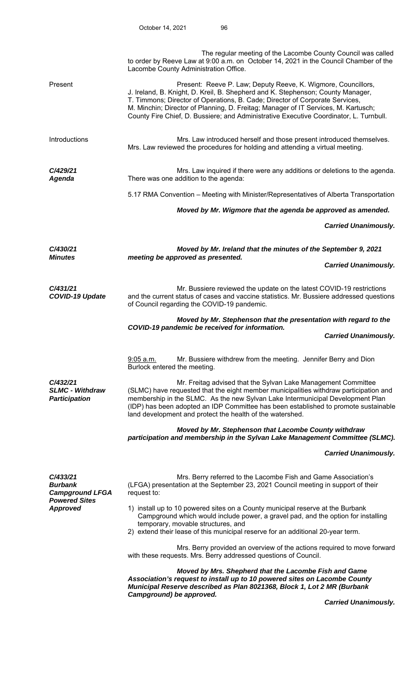|                                                                                                 | The regular meeting of the Lacombe County Council was called<br>to order by Reeve Law at 9:00 a.m. on October 14, 2021 in the Council Chamber of the<br>Lacombe County Administration Office.                                                                                                                                                                                                                    |  |  |
|-------------------------------------------------------------------------------------------------|------------------------------------------------------------------------------------------------------------------------------------------------------------------------------------------------------------------------------------------------------------------------------------------------------------------------------------------------------------------------------------------------------------------|--|--|
| Present                                                                                         | Present: Reeve P. Law; Deputy Reeve, K. Wigmore, Councillors,<br>J. Ireland, B. Knight, D. Kreil, B. Shepherd and K. Stephenson; County Manager,<br>T. Timmons; Director of Operations, B. Cade; Director of Corporate Services,<br>M. Minchin; Director of Planning, D. Freitag; Manager of IT Services, M. Kartusch;<br>County Fire Chief, D. Bussiere; and Administrative Executive Coordinator, L. Turnbull. |  |  |
| Introductions                                                                                   | Mrs. Law introduced herself and those present introduced themselves.<br>Mrs. Law reviewed the procedures for holding and attending a virtual meeting.                                                                                                                                                                                                                                                            |  |  |
| C/429/21<br><b>Agenda</b>                                                                       | Mrs. Law inquired if there were any additions or deletions to the agenda.<br>There was one addition to the agenda:                                                                                                                                                                                                                                                                                               |  |  |
|                                                                                                 | 5.17 RMA Convention – Meeting with Minister/Representatives of Alberta Transportation                                                                                                                                                                                                                                                                                                                            |  |  |
|                                                                                                 | Moved by Mr. Wigmore that the agenda be approved as amended.                                                                                                                                                                                                                                                                                                                                                     |  |  |
|                                                                                                 | <b>Carried Unanimously.</b>                                                                                                                                                                                                                                                                                                                                                                                      |  |  |
| C/430/21                                                                                        | Moved by Mr. Ireland that the minutes of the September 9, 2021                                                                                                                                                                                                                                                                                                                                                   |  |  |
| <b>Minutes</b>                                                                                  | meeting be approved as presented.<br><b>Carried Unanimously.</b>                                                                                                                                                                                                                                                                                                                                                 |  |  |
|                                                                                                 |                                                                                                                                                                                                                                                                                                                                                                                                                  |  |  |
| C/431/21<br><b>COVID-19 Update</b>                                                              | Mr. Bussiere reviewed the update on the latest COVID-19 restrictions<br>and the current status of cases and vaccine statistics. Mr. Bussiere addressed questions<br>of Council regarding the COVID-19 pandemic.                                                                                                                                                                                                  |  |  |
|                                                                                                 | Moved by Mr. Stephenson that the presentation with regard to the<br>COVID-19 pandemic be received for information.                                                                                                                                                                                                                                                                                               |  |  |
|                                                                                                 | <b>Carried Unanimously.</b>                                                                                                                                                                                                                                                                                                                                                                                      |  |  |
|                                                                                                 | Mr. Bussiere withdrew from the meeting. Jennifer Berry and Dion<br>$9:05$ a.m.<br>Burlock entered the meeting.                                                                                                                                                                                                                                                                                                   |  |  |
| C/432/21<br><b>SLMC - Withdraw</b><br><b>Participation</b>                                      | Mr. Freitag advised that the Sylvan Lake Management Committee<br>(SLMC) have requested that the eight member municipalities withdraw participation and<br>membership in the SLMC. As the new Sylvan Lake Intermunicipal Development Plan<br>(IDP) has been adopted an IDP Committee has been established to promote sustainable<br>land development and protect the health of the watershed.                     |  |  |
|                                                                                                 | Moved by Mr. Stephenson that Lacombe County withdraw<br>participation and membership in the Sylvan Lake Management Committee (SLMC).                                                                                                                                                                                                                                                                             |  |  |
|                                                                                                 | <b>Carried Unanimously.</b>                                                                                                                                                                                                                                                                                                                                                                                      |  |  |
| C/433/21<br><b>Burbank</b><br><b>Campground LFGA</b><br><b>Powered Sites</b><br><b>Approved</b> | Mrs. Berry referred to the Lacombe Fish and Game Association's<br>(LFGA) presentation at the September 23, 2021 Council meeting in support of their<br>request to:                                                                                                                                                                                                                                               |  |  |
|                                                                                                 | 1) install up to 10 powered sites on a County municipal reserve at the Burbank<br>Campground which would include power, a gravel pad, and the option for installing<br>temporary, movable structures, and<br>2) extend their lease of this municipal reserve for an additional 20-year term.                                                                                                                     |  |  |
|                                                                                                 | Mrs. Berry provided an overview of the actions required to move forward<br>with these requests. Mrs. Berry addressed questions of Council.                                                                                                                                                                                                                                                                       |  |  |
|                                                                                                 | Moved by Mrs. Shepherd that the Lacombe Fish and Game<br>Association's request to install up to 10 powered sites on Lacombe County<br>Municipal Reserve described as Plan 8021368, Block 1, Lot 2 MR (Burbank<br>Campground) be approved.                                                                                                                                                                        |  |  |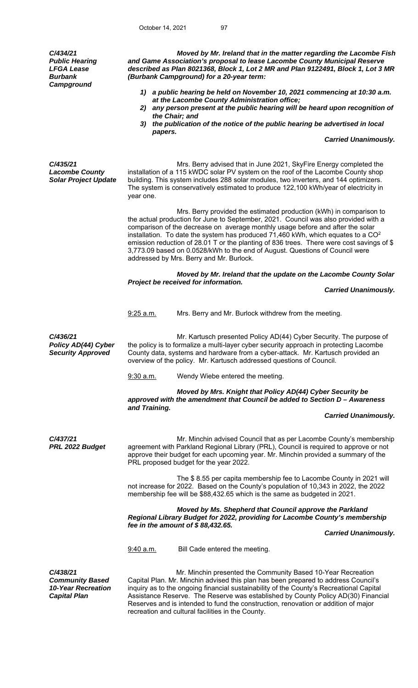*C/434/21 Public Hearing LFGA Lease Burbank Campground* 

 *Moved by Mr. Ireland that in the matter regarding the Lacombe Fish and Game Association's proposal to lease Lacombe County Municipal Reserve described as Plan 8021368, Block 1, Lot 2 MR and Plan 9122491, Block 1, Lot 3 MR (Burbank Campground) for a 20-year term:* 

- *1) a public hearing be held on November 10, 2021 commencing at 10:30 a.m. at the Lacombe County Administration office;*
- *2) any person present at the public hearing will be heard upon recognition of the Chair; and*
- *3) the publication of the notice of the public hearing be advertised in local papers.*

 *Carried Unanimously.* 

*C/435/21 Lacombe County Solar Project Update* 

 Mrs. Berry advised that in June 2021, SkyFire Energy completed the installation of a 115 kWDC solar PV system on the roof of the Lacombe County shop building. This system includes 288 solar modules, two inverters, and 144 optimizers. The system is conservatively estimated to produce 122,100 kWh/year of electricity in year one.

Mrs. Berry provided the estimated production (kWh) in comparison to the actual production for June to September, 2021. Council was also provided with a comparison of the decrease on average monthly usage before and after the solar installation. To date the system has produced  $71,460$  kWh, which equates to a  $CO<sup>2</sup>$ emission reduction of 28.01 T or the planting of 836 trees. There were cost savings of \$ 3,773.09 based on 0.0528/kWh to the end of August. Questions of Council were addressed by Mrs. Berry and Mr. Burlock.

*Moved by Mr. Ireland that the update on the Lacombe County Solar Project be received for information.* 

```
 Carried Unanimously.
```
9:25 a.m. Mrs. Berry and Mr. Burlock withdrew from the meeting.

Mr. Kartusch presented Policy AD(44) Cyber Security. The purpose of the policy is to formalize a multi-layer cyber security approach in protecting Lacombe County data, systems and hardware from a cyber-attack. Mr. Kartusch provided an overview of the policy. Mr. Kartusch addressed questions of Council.

9:30 a.m. Wendy Wiebe entered the meeting.

 *Moved by Mrs. Knight that Policy AD(44) Cyber Security be approved with the amendment that Council be added to Section D – Awareness and Training.* 

## *Carried Unanimously.*

*C/437/21 PRL 2022 Budget* 

*C/436/21* 

*Policy AD(44) Cyber Security Approved*

> Mr. Minchin advised Council that as per Lacombe County's membership agreement with Parkland Regional Library (PRL), Council is required to approve or not approve their budget for each upcoming year. Mr. Minchin provided a summary of the PRL proposed budget for the year 2022.

 The \$ 8.55 per capita membership fee to Lacombe County in 2021 will not increase for 2022. Based on the County's population of 10,343 in 2022, the 2022 membership fee will be \$88,432.65 which is the same as budgeted in 2021.

 *Moved by Ms. Shepherd that Council approve the Parkland Regional Library Budget for 2022, providing for Lacombe County's membership fee in the amount of \$ 88,432.65.*

 *Carried Unanimously.* 

9:40 a.m. Bill Cade entered the meeting.

*C/438/21 Community Based 10-Year Recreation Capital Plan* 

Mr. Minchin presented the Community Based 10-Year Recreation Capital Plan. Mr. Minchin advised this plan has been prepared to address Council's inquiry as to the ongoing financial sustainability of the County's Recreational Capital Assistance Reserve. The Reserve was established by County Policy AD(30) Financial Reserves and is intended to fund the construction, renovation or addition of major recreation and cultural facilities in the County.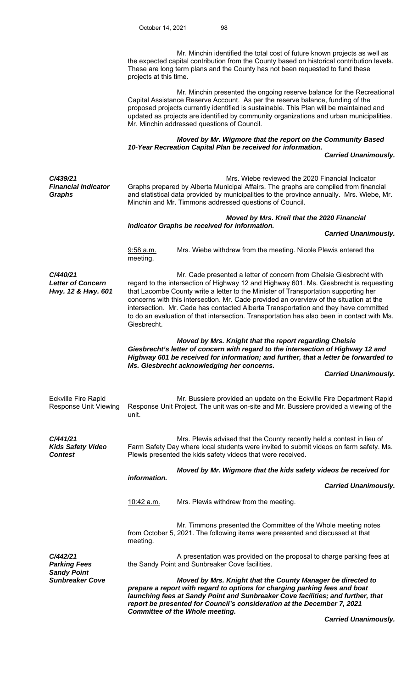Mr. Minchin identified the total cost of future known projects as well as the expected capital contribution from the County based on historical contribution levels. These are long term plans and the County has not been requested to fund these projects at this time. Mr. Minchin presented the ongoing reserve balance for the Recreational Capital Assistance Reserve Account. As per the reserve balance, funding of the proposed projects currently identified is sustainable. This Plan will be maintained and updated as projects are identified by community organizations and urban municipalities. Mr. Minchin addressed questions of Council. *Moved by Mr. Wigmore that the report on the Community Based 10-Year Recreation Capital Plan be received for information. Carried Unanimously. C/439/21 Financial Indicator Graphs*  Mrs. Wiebe reviewed the 2020 Financial Indicator Graphs prepared by Alberta Municipal Affairs. The graphs are compiled from financial and statistical data provided by municipalities to the province annually. Mrs. Wiebe, Mr. Minchin and Mr. Timmons addressed questions of Council.  *Moved by Mrs. Kreil that the 2020 Financial Indicator Graphs be received for information. Carried Unanimously.* 9:58 a.m. Mrs. Wiebe withdrew from the meeting. Nicole Plewis entered the meeting. *C/440/21 Letter of Concern Hwy. 12 & Hwy. 601* Mr. Cade presented a letter of concern from Chelsie Giesbrecht with regard to the intersection of Highway 12 and Highway 601. Ms. Giesbrecht is requesting that Lacombe County write a letter to the Minister of Transportation supporting her concerns with this intersection. Mr. Cade provided an overview of the situation at the intersection. Mr. Cade has contacted Alberta Transportation and they have committed to do an evaluation of that intersection. Transportation has also been in contact with Ms. Giesbrecht. *Moved by Mrs. Knight that the report regarding Chelsie Giesbrecht's letter of concern with regard to the intersection of Highway 12 and Highway 601 be received for information; and further, that a letter be forwarded to Ms. Giesbrecht acknowledging her concerns. Carried Unanimously.* Eckville Fire Rapid Response Unit Viewing Mr. Bussiere provided an update on the Eckville Fire Department Rapid Response Unit Project. The unit was on-site and Mr. Bussiere provided a viewing of the unit. *C/441/21 Kids Safety Video Contest*  Mrs. Plewis advised that the County recently held a contest in lieu of Farm Safety Day where local students were invited to submit videos on farm safety. Ms. Plewis presented the kids safety videos that were received. *Moved by Mr. Wigmore that the kids safety videos be received for information. Carried Unanimously.*  10:42 a.m. Mrs. Plewis withdrew from the meeting. Mr. Timmons presented the Committee of the Whole meeting notes from October 5, 2021. The following items were presented and discussed at that meeting. *C/442/21 Parking Fees*  A presentation was provided on the proposal to charge parking fees at the Sandy Point and Sunbreaker Cove facilities. *Sandy Point*  **Moved by Mrs. Knight that the County Manager be directed to** *prepare a report with regard to options for charging parking fees and boat launching fees at Sandy Point and Sunbreaker Cove facilities; and further, that report be presented for Council's consideration at the December 7, 2021 Committee of the Whole meeting.*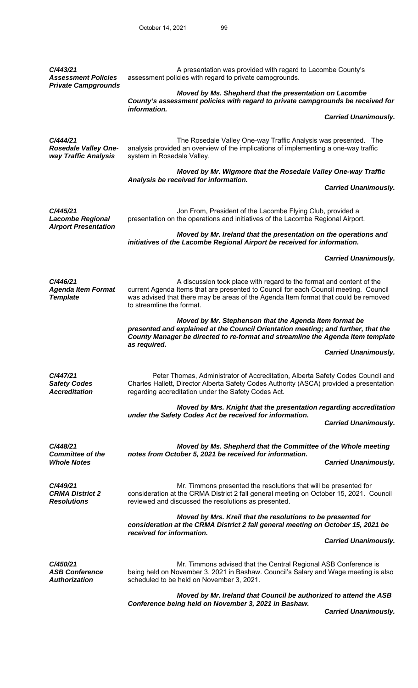| C/443/21<br><b>Assessment Policies</b><br><b>Private Campgrounds</b> | A presentation was provided with regard to Lacombe County's<br>assessment policies with regard to private campgrounds.                                                                                                                                                           |  |  |
|----------------------------------------------------------------------|----------------------------------------------------------------------------------------------------------------------------------------------------------------------------------------------------------------------------------------------------------------------------------|--|--|
|                                                                      | Moved by Ms. Shepherd that the presentation on Lacombe<br>County's assessment policies with regard to private campgrounds be received for                                                                                                                                        |  |  |
|                                                                      | information.<br><b>Carried Unanimously.</b>                                                                                                                                                                                                                                      |  |  |
| C/444/21<br><b>Rosedale Valley One-</b><br>way Traffic Analysis      | The Rosedale Valley One-way Traffic Analysis was presented. The<br>analysis provided an overview of the implications of implementing a one-way traffic<br>system in Rosedale Valley.                                                                                             |  |  |
|                                                                      | Moved by Mr. Wigmore that the Rosedale Valley One-way Traffic<br>Analysis be received for information.                                                                                                                                                                           |  |  |
|                                                                      | <b>Carried Unanimously.</b>                                                                                                                                                                                                                                                      |  |  |
| C/445/21<br><b>Lacombe Regional</b><br><b>Airport Presentation</b>   | Jon From, President of the Lacombe Flying Club, provided a<br>presentation on the operations and initiatives of the Lacombe Regional Airport.                                                                                                                                    |  |  |
|                                                                      | Moved by Mr. Ireland that the presentation on the operations and<br>initiatives of the Lacombe Regional Airport be received for information.                                                                                                                                     |  |  |
|                                                                      | <b>Carried Unanimously.</b>                                                                                                                                                                                                                                                      |  |  |
| C/446/21<br><b>Agenda Item Format</b><br><b>Template</b>             | A discussion took place with regard to the format and content of the<br>current Agenda Items that are presented to Council for each Council meeting. Council<br>was advised that there may be areas of the Agenda Item format that could be removed<br>to streamline the format. |  |  |
|                                                                      | Moved by Mr. Stephenson that the Agenda Item format be<br>presented and explained at the Council Orientation meeting; and further, that the<br>County Manager be directed to re-format and streamline the Agenda Item template<br>as required.                                   |  |  |
|                                                                      | <b>Carried Unanimously.</b>                                                                                                                                                                                                                                                      |  |  |
| C/447/21<br><b>Safety Codes</b><br><b>Accreditation</b>              | Peter Thomas, Administrator of Accreditation, Alberta Safety Codes Council and<br>Charles Hallett, Director Alberta Safety Codes Authority (ASCA) provided a presentation<br>regarding accreditation under the Safety Codes Act.                                                 |  |  |
|                                                                      | Moved by Mrs. Knight that the presentation regarding accreditation<br>under the Safety Codes Act be received for information.<br><b>Carried Unanimously.</b>                                                                                                                     |  |  |
| C/448/21<br><b>Committee of the</b><br><b>Whole Notes</b>            | Moved by Ms. Shepherd that the Committee of the Whole meeting<br>notes from October 5, 2021 be received for information.<br><b>Carried Unanimously.</b>                                                                                                                          |  |  |
|                                                                      |                                                                                                                                                                                                                                                                                  |  |  |
| C/449/21<br><b>CRMA District 2</b><br><b>Resolutions</b>             | Mr. Timmons presented the resolutions that will be presented for<br>consideration at the CRMA District 2 fall general meeting on October 15, 2021. Council<br>reviewed and discussed the resolutions as presented.                                                               |  |  |
|                                                                      | Moved by Mrs. Kreil that the resolutions to be presented for<br>consideration at the CRMA District 2 fall general meeting on October 15, 2021 be<br>received for information.                                                                                                    |  |  |
|                                                                      | <b>Carried Unanimously.</b>                                                                                                                                                                                                                                                      |  |  |
| C/450/21<br><b>ASB Conference</b><br><b>Authorization</b>            | Mr. Timmons advised that the Central Regional ASB Conference is<br>being held on November 3, 2021 in Bashaw. Council's Salary and Wage meeting is also<br>scheduled to be held on November 3, 2021.                                                                              |  |  |
|                                                                      | Moved by Mr. Ireland that Council be authorized to attend the ASB                                                                                                                                                                                                                |  |  |

*Conference being held on November 3, 2021 in Bashaw.*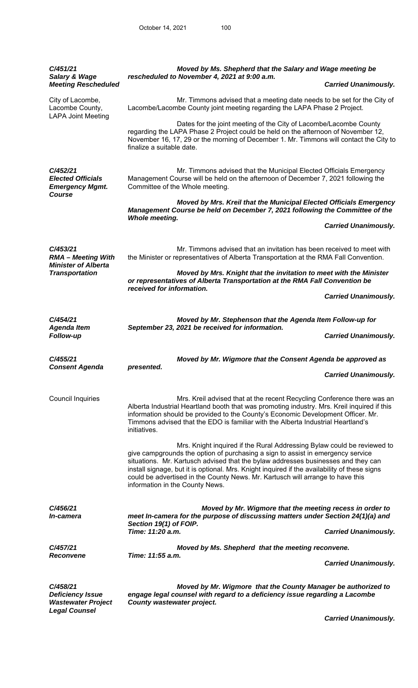| C/451/21<br><b>Salary &amp; Wage</b>                                                         | Moved by Ms. Shepherd that the Salary and Wage meeting be<br>rescheduled to November 4, 2021 at 9:00 a.m.                                                                                                                                                                                                                                                                                                                                                            |
|----------------------------------------------------------------------------------------------|----------------------------------------------------------------------------------------------------------------------------------------------------------------------------------------------------------------------------------------------------------------------------------------------------------------------------------------------------------------------------------------------------------------------------------------------------------------------|
| <b>Meeting Rescheduled</b>                                                                   | <b>Carried Unanimously.</b>                                                                                                                                                                                                                                                                                                                                                                                                                                          |
| City of Lacombe,<br>Lacombe County,<br><b>LAPA Joint Meeting</b>                             | Mr. Timmons advised that a meeting date needs to be set for the City of<br>Lacombe/Lacombe County joint meeting regarding the LAPA Phase 2 Project.                                                                                                                                                                                                                                                                                                                  |
|                                                                                              | Dates for the joint meeting of the City of Lacombe/Lacombe County<br>regarding the LAPA Phase 2 Project could be held on the afternoon of November 12,<br>November 16, 17, 29 or the morning of December 1. Mr. Timmons will contact the City to<br>finalize a suitable date.                                                                                                                                                                                        |
| C/452/21<br><b>Elected Officials</b><br><b>Emergency Mgmt.</b><br>Course                     | Mr. Timmons advised that the Municipal Elected Officials Emergency<br>Management Course will be held on the afternoon of December 7, 2021 following the<br>Committee of the Whole meeting.                                                                                                                                                                                                                                                                           |
|                                                                                              | Moved by Mrs. Kreil that the Municipal Elected Officials Emergency<br>Management Course be held on December 7, 2021 following the Committee of the<br><b>Whole meeting.</b>                                                                                                                                                                                                                                                                                          |
|                                                                                              | <b>Carried Unanimously.</b>                                                                                                                                                                                                                                                                                                                                                                                                                                          |
| C/453/21<br><b>RMA - Meeting With</b><br><b>Minister of Alberta</b><br><b>Transportation</b> | Mr. Timmons advised that an invitation has been received to meet with<br>the Minister or representatives of Alberta Transportation at the RMA Fall Convention.                                                                                                                                                                                                                                                                                                       |
|                                                                                              | Moved by Mrs. Knight that the invitation to meet with the Minister<br>or representatives of Alberta Transportation at the RMA Fall Convention be<br>received for information.                                                                                                                                                                                                                                                                                        |
|                                                                                              | <b>Carried Unanimously.</b>                                                                                                                                                                                                                                                                                                                                                                                                                                          |
|                                                                                              |                                                                                                                                                                                                                                                                                                                                                                                                                                                                      |
| C/454/21<br><b>Agenda Item</b>                                                               | Moved by Mr. Stephenson that the Agenda Item Follow-up for<br>September 23, 2021 be received for information.                                                                                                                                                                                                                                                                                                                                                        |
| Follow-up                                                                                    | <b>Carried Unanimously.</b>                                                                                                                                                                                                                                                                                                                                                                                                                                          |
| C/455/21<br><b>Consent Agenda</b>                                                            | Moved by Mr. Wigmore that the Consent Agenda be approved as<br>presented.                                                                                                                                                                                                                                                                                                                                                                                            |
|                                                                                              | <b>Carried Unanimously.</b>                                                                                                                                                                                                                                                                                                                                                                                                                                          |
| <b>Council Inquiries</b>                                                                     | Mrs. Kreil advised that at the recent Recycling Conference there was an<br>Alberta Industrial Heartland booth that was promoting industry. Mrs. Kreil inquired if this<br>information should be provided to the County's Economic Development Officer. Mr.<br>Timmons advised that the EDO is familiar with the Alberta Industrial Heartland's<br>initiatives.                                                                                                       |
|                                                                                              | Mrs. Knight inquired if the Rural Addressing Bylaw could be reviewed to<br>give campgrounds the option of purchasing a sign to assist in emergency service<br>situations. Mr. Kartusch advised that the bylaw addresses businesses and they can<br>install signage, but it is optional. Mrs. Knight inquired if the availability of these signs<br>could be advertised in the County News. Mr. Kartusch will arrange to have this<br>information in the County News. |
| C/456/21                                                                                     | Moved by Mr. Wigmore that the meeting recess in order to                                                                                                                                                                                                                                                                                                                                                                                                             |
| In-camera                                                                                    | meet In-camera for the purpose of discussing matters under Section 24(1)(a) and<br>Section 19(1) of FOIP.                                                                                                                                                                                                                                                                                                                                                            |
|                                                                                              | Time: 11:20 a.m.<br><b>Carried Unanimously.</b>                                                                                                                                                                                                                                                                                                                                                                                                                      |
| C/457/21                                                                                     | Moved by Ms. Shepherd that the meeting reconvene.                                                                                                                                                                                                                                                                                                                                                                                                                    |
| <b>Reconvene</b>                                                                             | Time: 11:55 a.m.<br><b>Carried Unanimously.</b>                                                                                                                                                                                                                                                                                                                                                                                                                      |
| C/458/21<br><b>Deficiency Issue</b><br><b>Wastewater Project</b><br><b>Legal Counsel</b>     | Moved by Mr. Wigmore that the County Manager be authorized to<br>engage legal counsel with regard to a deficiency issue regarding a Lacombe<br>County wastewater project.                                                                                                                                                                                                                                                                                            |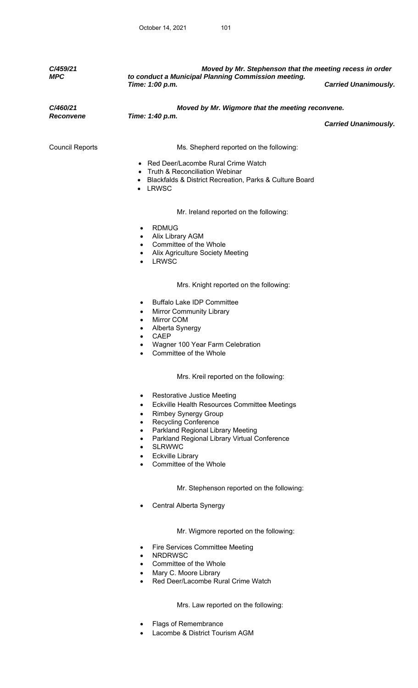| C/459/21<br><b>MPC</b>       | Moved by Mr. Stephenson that the meeting recess in order<br>to conduct a Municipal Planning Commission meeting.                                                                                                                                                                                                                                                                                                  |                             |  |
|------------------------------|------------------------------------------------------------------------------------------------------------------------------------------------------------------------------------------------------------------------------------------------------------------------------------------------------------------------------------------------------------------------------------------------------------------|-----------------------------|--|
|                              | Time: 1:00 p.m.                                                                                                                                                                                                                                                                                                                                                                                                  | <b>Carried Unanimously.</b> |  |
| C/460/21<br><b>Reconvene</b> | Moved by Mr. Wigmore that the meeting reconvene.<br>Time: 1:40 p.m.                                                                                                                                                                                                                                                                                                                                              |                             |  |
|                              |                                                                                                                                                                                                                                                                                                                                                                                                                  | <b>Carried Unanimously.</b> |  |
| <b>Council Reports</b>       | Ms. Shepherd reported on the following:                                                                                                                                                                                                                                                                                                                                                                          |                             |  |
|                              | • Red Deer/Lacombe Rural Crime Watch<br>Truth & Reconciliation Webinar<br>Blackfalds & District Recreation, Parks & Culture Board<br>• LRWSC                                                                                                                                                                                                                                                                     |                             |  |
|                              | Mr. Ireland reported on the following:                                                                                                                                                                                                                                                                                                                                                                           |                             |  |
|                              | <b>RDMUG</b><br>$\bullet$<br>Alix Library AGM<br>Committee of the Whole<br>$\bullet$<br><b>Alix Agriculture Society Meeting</b><br><b>LRWSC</b><br>$\bullet$                                                                                                                                                                                                                                                     |                             |  |
|                              | Mrs. Knight reported on the following:                                                                                                                                                                                                                                                                                                                                                                           |                             |  |
|                              | <b>Buffalo Lake IDP Committee</b><br>$\bullet$<br><b>Mirror Community Library</b><br>$\bullet$<br>Mirror COM<br>$\bullet$<br>Alberta Synergy<br>$\bullet$<br><b>CAEP</b><br>$\bullet$<br>Wagner 100 Year Farm Celebration<br>Committee of the Whole                                                                                                                                                              |                             |  |
|                              | Mrs. Kreil reported on the following:                                                                                                                                                                                                                                                                                                                                                                            |                             |  |
|                              | <b>Restorative Justice Meeting</b><br>$\bullet$<br>Eckville Health Resources Committee Meetings<br>$\bullet$<br><b>Rimbey Synergy Group</b><br>$\bullet$<br><b>Recycling Conference</b><br>$\bullet$<br>Parkland Regional Library Meeting<br>$\bullet$<br>Parkland Regional Library Virtual Conference<br>$\bullet$<br><b>SLRWWC</b><br>٠<br><b>Eckville Library</b><br>٠<br>Committee of the Whole<br>$\bullet$ |                             |  |
|                              | Mr. Stephenson reported on the following:                                                                                                                                                                                                                                                                                                                                                                        |                             |  |
|                              | Central Alberta Synergy                                                                                                                                                                                                                                                                                                                                                                                          |                             |  |
|                              | Mr. Wigmore reported on the following:                                                                                                                                                                                                                                                                                                                                                                           |                             |  |
|                              | Fire Services Committee Meeting<br>٠<br><b>NRDRWSC</b><br>$\bullet$<br>Committee of the Whole<br>$\bullet$                                                                                                                                                                                                                                                                                                       |                             |  |
|                              | Mary C. Moore Library<br>٠<br>Red Deer/Lacombe Rural Crime Watch                                                                                                                                                                                                                                                                                                                                                 |                             |  |

 Mrs. Law reported on the following:

- Flags of Remembrance
- Lacombe & District Tourism AGM